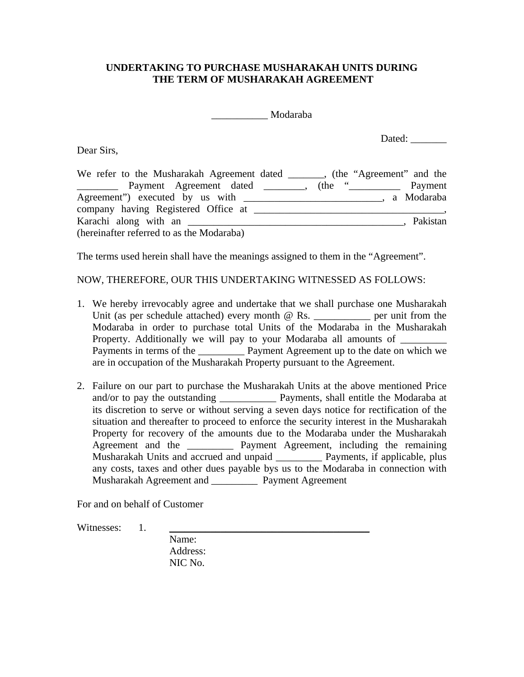## **UNDERTAKING TO PURCHASE MUSHARAKAH UNITS DURING THE TERM OF MUSHARAKAH AGREEMENT**

\_\_\_\_\_\_\_\_\_\_\_ Modaraba

Dear Sirs,

Dated: \_\_\_\_\_\_\_

| We refer to the Musharakah Agreement dated (the "Agreement" and the                                                                                                                                                                                                                                                                                                                                                                                                                                                                                                                                            |          |
|----------------------------------------------------------------------------------------------------------------------------------------------------------------------------------------------------------------------------------------------------------------------------------------------------------------------------------------------------------------------------------------------------------------------------------------------------------------------------------------------------------------------------------------------------------------------------------------------------------------|----------|
| $(the \tightharpoonup \tightharpoonup \tightharpoonup \tightharpoonup \tightharpoonup \tightharpoonup \tightharpoonup \tightharpoonup \tightharpoonup \tightharpoonup \tightharpoonup \tightharpoonup \tightharpoonup \tightharpoonup \tightharpoonup \tightharpoonup \tightharpoonup \tightharpoonup \tightharpoonup \tightharpoonup \tightharpoonup \tightharpoonup \tightharpoonup \tightharpoonup \tightharpoonup \tightharpoonup \tightharpoonup \tightharpoonup \tightharpoonup \tightharpoonup \tightharpoonup \tightharpoonup \tightharpoonup \tightharpoonup \tightharpoonup \tightharpoonup \tighth$ | Payment  |
|                                                                                                                                                                                                                                                                                                                                                                                                                                                                                                                                                                                                                |          |
| company having Registered Office at ______                                                                                                                                                                                                                                                                                                                                                                                                                                                                                                                                                                     |          |
| Karachi along with an                                                                                                                                                                                                                                                                                                                                                                                                                                                                                                                                                                                          | Pakistan |
| (hereinafter referred to as the Modaraba)                                                                                                                                                                                                                                                                                                                                                                                                                                                                                                                                                                      |          |

The terms used herein shall have the meanings assigned to them in the "Agreement".

NOW, THEREFORE, OUR THIS UNDERTAKING WITNESSED AS FOLLOWS:

- 1. We hereby irrevocably agree and undertake that we shall purchase one Musharakah Unit (as per schedule attached) every month  $\omega$  Rs.  $\qquad \qquad$  per unit from the Modaraba in order to purchase total Units of the Modaraba in the Musharakah Property. Additionally we will pay to your Modaraba all amounts of Payments in terms of the **Payment Agreement up to the date on which we** are in occupation of the Musharakah Property pursuant to the Agreement.
- 2. Failure on our part to purchase the Musharakah Units at the above mentioned Price and/or to pay the outstanding \_\_\_\_\_\_\_\_\_\_\_ Payments, shall entitle the Modaraba at its discretion to serve or without serving a seven days notice for rectification of the situation and thereafter to proceed to enforce the security interest in the Musharakah Property for recovery of the amounts due to the Modaraba under the Musharakah Agreement and the \_\_\_\_\_\_\_\_\_ Payment Agreement, including the remaining Musharakah Units and accrued and unpaid \_\_\_\_\_\_\_\_\_ Payments, if applicable, plus any costs, taxes and other dues payable bys us to the Modaraba in connection with Musharakah Agreement and \_\_\_\_\_\_\_\_\_ Payment Agreement

For and on behalf of Customer

Witnesses: 1.

 Name: Address: NIC No.